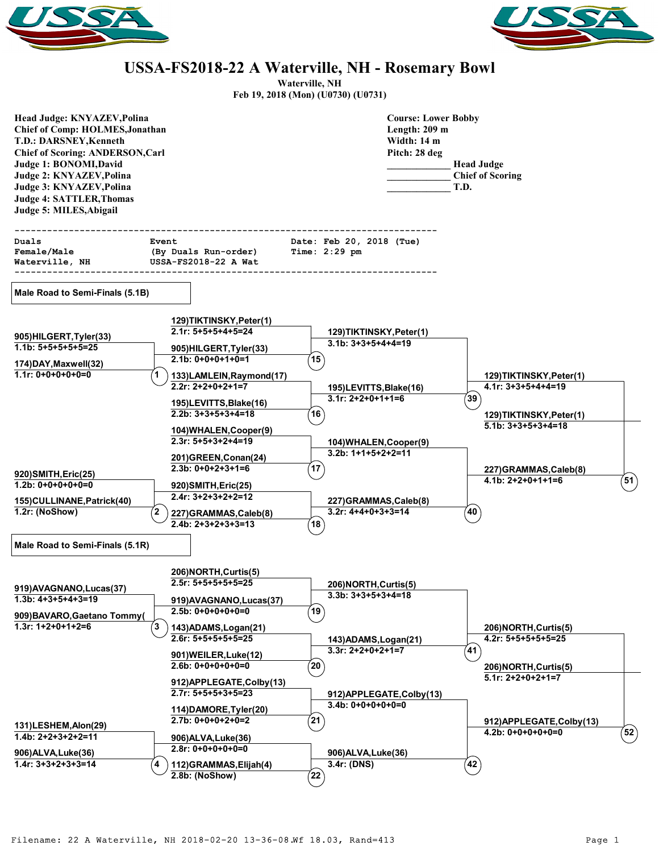



## **USSA-FS2018-22 A Waterville, NH - Rosemary Bowl**

**Waterville, NH**

**Feb 19, 2018 (Mon) (U0730) (U0731)**

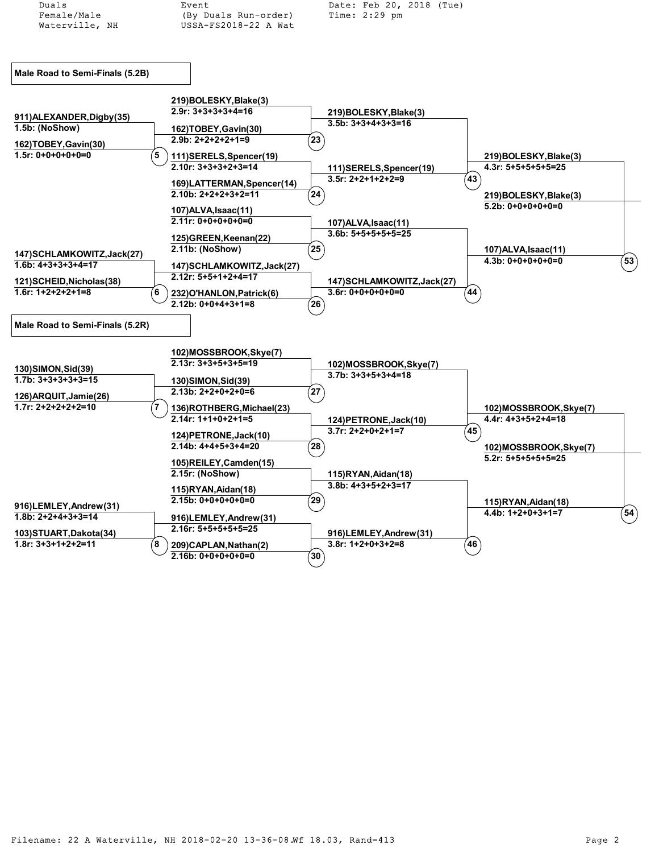| Duals                           | Event                                            | Date: Feb 20, 2018 (Tue)                      |                                                |                       |
|---------------------------------|--------------------------------------------------|-----------------------------------------------|------------------------------------------------|-----------------------|
| Female/Male                     | (By Duals Run-order)                             | $Time: 2:29$ pm                               |                                                |                       |
| Waterville, NH                  | USSA-FS2018-22 A Wat                             |                                               |                                                |                       |
|                                 |                                                  |                                               |                                                |                       |
|                                 |                                                  |                                               |                                                |                       |
|                                 |                                                  |                                               |                                                |                       |
| Male Road to Semi-Finals (5.2B) |                                                  |                                               |                                                |                       |
|                                 |                                                  |                                               |                                                |                       |
|                                 |                                                  |                                               |                                                |                       |
|                                 | 219)BOLESKY,Blake(3)<br>$2.9r: 3+3+3+3+4=16$     |                                               |                                                |                       |
| 911) ALEXANDER, Digby (35)      |                                                  | 219)BOLESKY, Blake(3)<br>$3.5b: 3+3+4+3+3=16$ |                                                |                       |
| 1.5b: (NoShow)                  | 162)TOBEY, Gavin(30)                             |                                               |                                                |                       |
| 162)TOBEY, Gavin(30)            | $2.9b: 2+2+2+2+1=9$                              | $({\bf 23})$                                  |                                                |                       |
| $1.5r: 0+0+0+0+0=0$             | 5<br>111)SERELS, Spencer(19)                     |                                               | 219)BOLESKY, Blake(3)                          |                       |
|                                 | $2.10r: 3+3+3+2+3=14$                            | 111)SERELS, Spencer(19)                       | $4.3r: 5+5+5+5+5=25$                           |                       |
|                                 |                                                  | $3.5r: 2+2+1+2+2=9$                           | (43)                                           |                       |
|                                 | 169)LATTERMAN, Spencer(14)                       |                                               |                                                |                       |
|                                 | $2.10b: 2+2+2+3+2=11$                            | $\left( 24\right)$                            | 219)BOLESKY, Blake(3)                          |                       |
|                                 | 107) ALVA, Isaac (11)                            |                                               | $5.2b: 0+0+0+0+0=0$                            |                       |
|                                 | $2.11r: 0+0+0+0+0=0$                             | 107) ALVA, Isaac(11)                          |                                                |                       |
|                                 | 125) GREEN, Keenan(22)                           | $3.6b: 5+5+5+5+5=25$                          |                                                |                       |
|                                 | 2.11b: (NoShow)                                  | $\mathbf{\left( 25\right) }$                  |                                                |                       |
| 147) SCHLAMKOWITZ, Jack(27)     |                                                  |                                               | 107) ALVA, Isaac(11)<br>$4.3b: 0+0+0+0+0=0$    | $^{'}$ 53 $\rangle$   |
| $1.6b: 4+3+3+3+4=17$            | 147) SCHLAMKOWITZ, Jack(27)                      |                                               |                                                |                       |
| 121)SCHEID,Nicholas(38)         | 2.12r: 5+5+1+2+4=17                              | 147) SCHLAMKOWITZ, Jack(27)                   |                                                |                       |
| $1.6r: 1+2+2+2+1=8$             | 6<br>232) O'HANLON, Patrick(6)                   | $3.6r: 0+0+0+0+0=0$                           | 44 <sup>7</sup>                                |                       |
|                                 | $2.12b: 0+0+4+3+1=8$                             | $^{'}26$                                      |                                                |                       |
|                                 |                                                  |                                               |                                                |                       |
| Male Road to Semi-Finals (5.2R) |                                                  |                                               |                                                |                       |
|                                 |                                                  |                                               |                                                |                       |
|                                 | 102)MOSSBROOK,Skye(7)                            |                                               |                                                |                       |
|                                 | $2.13r: 3+3+5+3+5=19$                            | 102)MOSSBROOK, Skye(7)                        |                                                |                       |
| 130)SIMON,Sid(39)               |                                                  | $3.7b: 3+3+5+3+4=18$                          |                                                |                       |
| $1.7b: 3+3+3+3+3=15$            | 130)SIMON, Sid(39)                               |                                               |                                                |                       |
| 126) ARQUIT, Jamie (26)         | $2.13b: 2+2+0+2+0=6$                             | $^{'}$ 27 $^{'}$                              |                                                |                       |
| $1.7r: 2+2+2+2+2=10$            | 7<br>136)ROTHBERG, Michael(23)                   |                                               | 102)MOSSBROOK, Skye(7)                         |                       |
|                                 | 2.14r: 1+1+0+2+1=5                               | 124) PETRONE, Jack(10)                        | $4.4r: 4+3+5+2+4=18$                           |                       |
|                                 |                                                  | $3.7r: 2+2+0+2+1=7$                           | (45)                                           |                       |
|                                 | 124) PETRONE, Jack (10)<br>$2.14b: 4+4+5+3+4=20$ | ້ 28ີ                                         |                                                |                       |
|                                 |                                                  |                                               | 102)MOSSBROOK, Skye(7)<br>$5.2r: 5+5+5+5+5=25$ |                       |
|                                 | 105)REILEY, Camden(15)                           |                                               |                                                |                       |
|                                 | 2.15r: (NoShow)                                  | 115)RYAN,Aidan(18)                            |                                                |                       |
|                                 | 115)RYAN, Aidan(18)                              | $3.8b: 4+3+5+2+3=17$                          |                                                |                       |
|                                 | $2.15b: 0+0+0+0+0=0$                             | 29`                                           | 115) RYAN, Aidan(18)                           |                       |
| 916)LEMLEY, Andrew(31)          |                                                  |                                               | $4.4b: 1+2+0+3+1=7$                            | $\left($ 54 $\right)$ |
| $1.8b: 2+2+4+3+3=14$            | 916)LEMLEY, Andrew (31)                          |                                               |                                                |                       |
| 103) STUART, Dakota(34)         | $2.16r: 5+5+5+5+5=25$                            | 916)LEMLEY, Andrew(31)                        |                                                |                       |
| $1.8r: 3+3+1+2+2=11$            | 8<br>209)CAPLAN, Nathan(2)                       | $3.8r: 1+2+0+3+2=8$                           | (46)                                           |                       |
|                                 | 2.16b: 0+0+0+0+0=0                               | $\mathbf{\left( 30\right) }$                  |                                                |                       |
|                                 |                                                  |                                               |                                                |                       |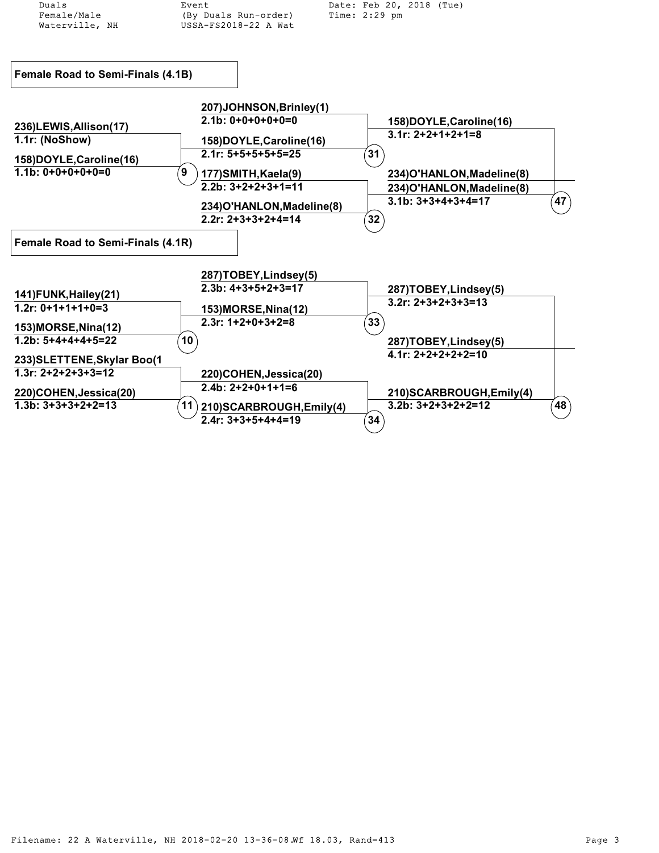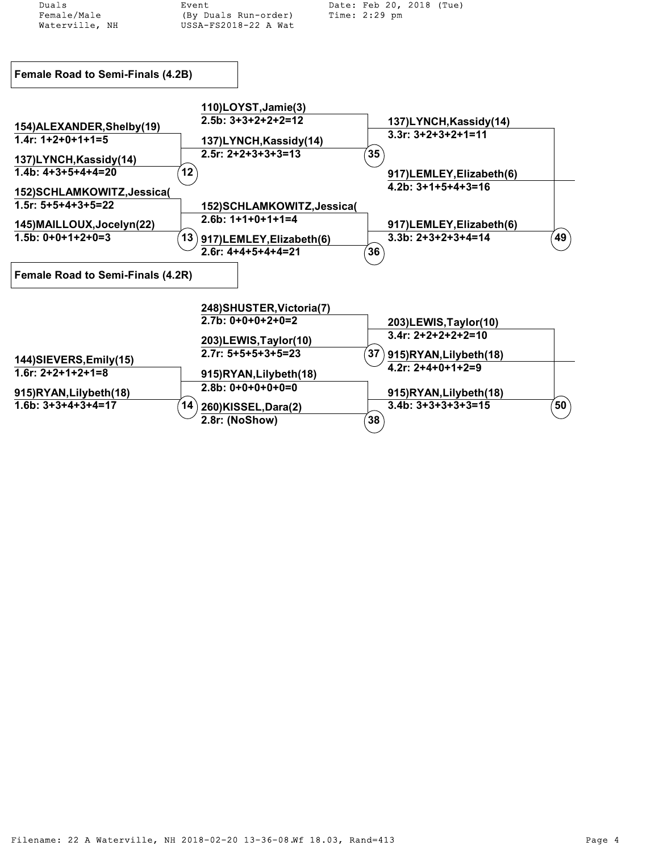